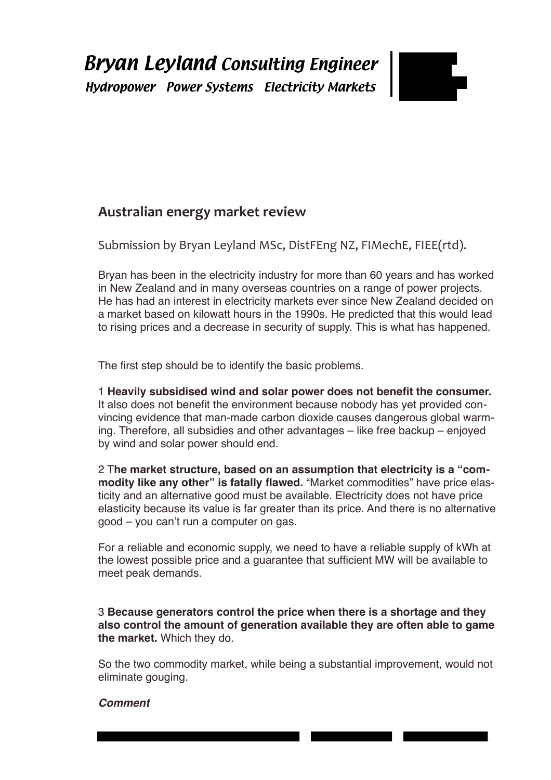

# **Australian energy market review**

Submission by Bryan Leyland MSc, DistFEng NZ, FIMechE, FIEE(rtd).

Bryan has been in the electricity industry for more than 60 years and has worked in New Zealand and in many overseas countries on a range of power projects. He has had an interest in electricity markets ever since New Zealand decided on a market based on kilowatt hours in the 1990s. He predicted that this would lead to rising prices and a decrease in security of supply. This is what has happened.

The first step should be to identify the basic problems.

1 **Heavily subsidised wind and solar power does not benefit the consumer.** It also does not benefit the environment because nobody has yet provided convincing evidence that man-made carbon dioxide causes dangerous global warming. Therefore, all subsidies and other advantages – like free backup – enjoyed by wind and solar power should end.

2 T**he market structure, based on an assumption that electricity is a "commodity like any other" is fatally flawed.** "Market commodities" have price elasticity and an alternative good must be available. Electricity does not have price elasticity because its value is far greater than its price. And there is no alternative good – you can't run a computer on gas.

For a reliable and economic supply, we need to have a reliable supply of kWh at the lowest possible price and a guarantee that sufficient MW will be available to meet peak demands.

### 3 **Because generators control the price when there is a shortage and they also control the amount of generation available they are often able to game the market.** Which they do.

So the two commodity market, while being a substantial improvement, would not eliminate gouging.

and the contract of the contract of the contract of the contract of the contract of the contract of the contract of

## *Comment*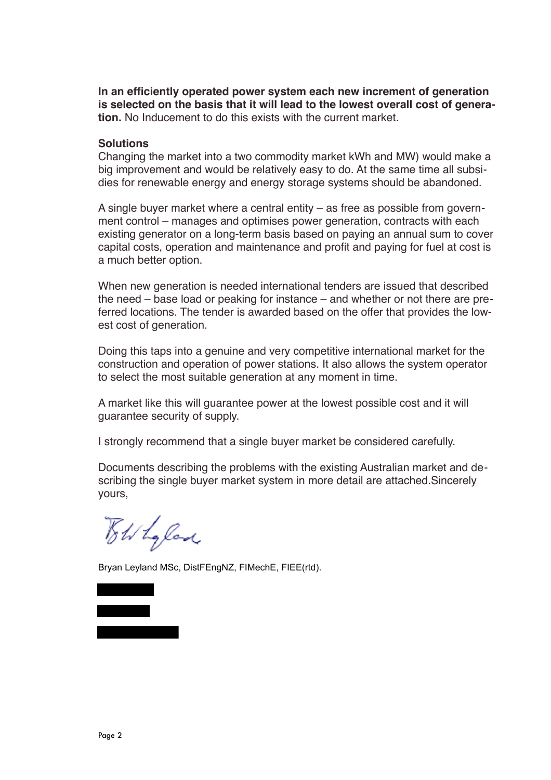**In an efficiently operated power system each new increment of generation is selected on the basis that it will lead to the lowest overall cost of generation.** No Inducement to do this exists with the current market.

#### **Solutions**

Changing the market into a two commodity market kWh and MW) would make a big improvement and would be relatively easy to do. At the same time all subsidies for renewable energy and energy storage systems should be abandoned.

A single buyer market where a central entity – as free as possible from government control – manages and optimises power generation, contracts with each existing generator on a long-term basis based on paying an annual sum to cover capital costs, operation and maintenance and profit and paying for fuel at cost is a much better option.

When new generation is needed international tenders are issued that described the need – base load or peaking for instance – and whether or not there are preferred locations. The tender is awarded based on the offer that provides the lowest cost of generation.

Doing this taps into a genuine and very competitive international market for the construction and operation of power stations. It also allows the system operator to select the most suitable generation at any moment in time.

A market like this will guarantee power at the lowest possible cost and it will guarantee security of supply.

I strongly recommend that a single buyer market be considered carefully.

Documents describing the problems with the existing Australian market and describing the single buyer market system in more detail are attached.Sincerely yours,

Toth La lad

Bryan Leyland MSc, DistFEngNZ, FIMechE, FIEE(rtd).

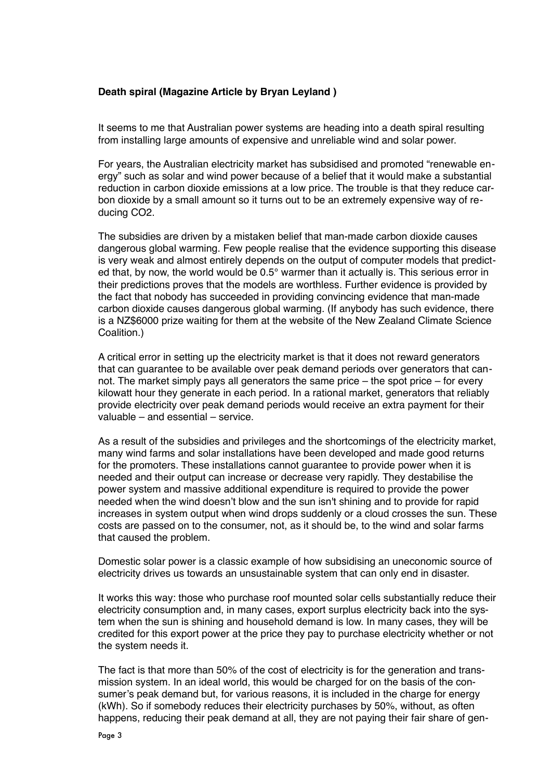#### **Death spiral (Magazine Article by Bryan Leyland )**

It seems to me that Australian power systems are heading into a death spiral resulting from installing large amounts of expensive and unreliable wind and solar power.

For years, the Australian electricity market has subsidised and promoted "renewable energy" such as solar and wind power because of a belief that it would make a substantial reduction in carbon dioxide emissions at a low price. The trouble is that they reduce carbon dioxide by a small amount so it turns out to be an extremely expensive way of reducing CO2.

The subsidies are driven by a mistaken belief that man-made carbon dioxide causes dangerous global warming. Few people realise that the evidence supporting this disease is very weak and almost entirely depends on the output of computer models that predicted that, by now, the world would be 0.5° warmer than it actually is. This serious error in their predictions proves that the models are worthless. Further evidence is provided by the fact that nobody has succeeded in providing convincing evidence that man-made carbon dioxide causes dangerous global warming. (If anybody has such evidence, there is a NZ\$6000 prize waiting for them at the website of the New Zealand Climate Science Coalition.)

A critical error in setting up the electricity market is that it does not reward generators that can guarantee to be available over peak demand periods over generators that cannot. The market simply pays all generators the same price – the spot price – for every kilowatt hour they generate in each period. In a rational market, generators that reliably provide electricity over peak demand periods would receive an extra payment for their valuable – and essential – service.

As a result of the subsidies and privileges and the shortcomings of the electricity market, many wind farms and solar installations have been developed and made good returns for the promoters. These installations cannot guarantee to provide power when it is needed and their output can increase or decrease very rapidly. They destabilise the power system and massive additional expenditure is required to provide the power needed when the wind doesn't blow and the sun isn't shining and to provide for rapid increases in system output when wind drops suddenly or a cloud crosses the sun. These costs are passed on to the consumer, not, as it should be, to the wind and solar farms that caused the problem.

Domestic solar power is a classic example of how subsidising an uneconomic source of electricity drives us towards an unsustainable system that can only end in disaster.

It works this way: those who purchase roof mounted solar cells substantially reduce their electricity consumption and, in many cases, export surplus electricity back into the system when the sun is shining and household demand is low. In many cases, they will be credited for this export power at the price they pay to purchase electricity whether or not the system needs it.

The fact is that more than 50% of the cost of electricity is for the generation and transmission system. In an ideal world, this would be charged for on the basis of the consumer's peak demand but, for various reasons, it is included in the charge for energy (kWh). So if somebody reduces their electricity purchases by 50%, without, as often happens, reducing their peak demand at all, they are not paying their fair share of gen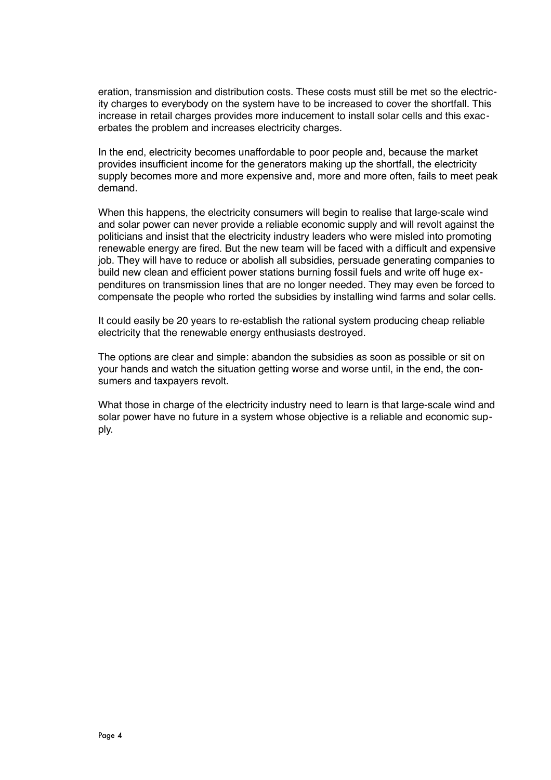eration, transmission and distribution costs. These costs must still be met so the electricity charges to everybody on the system have to be increased to cover the shortfall. This increase in retail charges provides more inducement to install solar cells and this exacerbates the problem and increases electricity charges.

In the end, electricity becomes unaffordable to poor people and, because the market provides insufficient income for the generators making up the shortfall, the electricity supply becomes more and more expensive and, more and more often, fails to meet peak demand.

When this happens, the electricity consumers will begin to realise that large-scale wind and solar power can never provide a reliable economic supply and will revolt against the politicians and insist that the electricity industry leaders who were misled into promoting renewable energy are fired. But the new team will be faced with a difficult and expensive job. They will have to reduce or abolish all subsidies, persuade generating companies to build new clean and efficient power stations burning fossil fuels and write off huge expenditures on transmission lines that are no longer needed. They may even be forced to compensate the people who rorted the subsidies by installing wind farms and solar cells.

It could easily be 20 years to re-establish the rational system producing cheap reliable electricity that the renewable energy enthusiasts destroyed.

The options are clear and simple: abandon the subsidies as soon as possible or sit on your hands and watch the situation getting worse and worse until, in the end, the consumers and taxpayers revolt.

What those in charge of the electricity industry need to learn is that large-scale wind and solar power have no future in a system whose objective is a reliable and economic supply.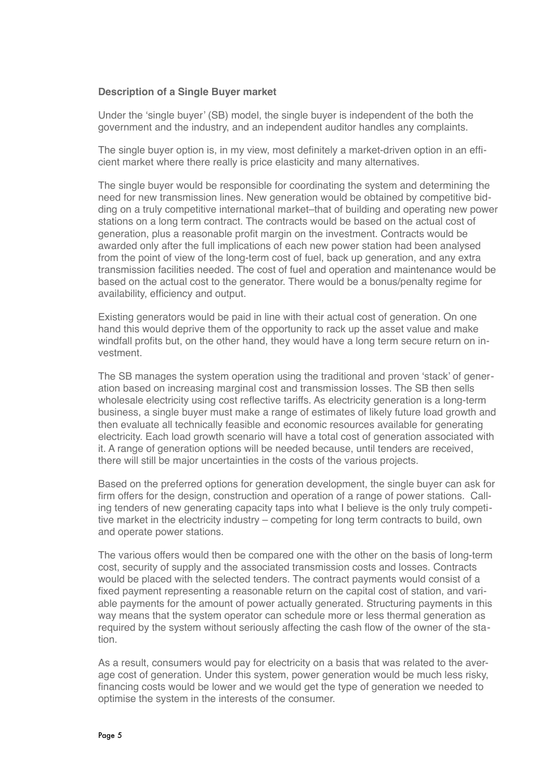#### **Description of a Single Buyer market**

Under the 'single buyer' (SB) model, the single buyer is independent of the both the government and the industry, and an independent auditor handles any complaints.

The single buyer option is, in my view, most definitely a market-driven option in an efficient market where there really is price elasticity and many alternatives.

The single buyer would be responsible for coordinating the system and determining the need for new transmission lines. New generation would be obtained by competitive bidding on a truly competitive international market–that of building and operating new power stations on a long term contract. The contracts would be based on the actual cost of generation, plus a reasonable profit margin on the investment. Contracts would be awarded only after the full implications of each new power station had been analysed from the point of view of the long-term cost of fuel, back up generation, and any extra transmission facilities needed. The cost of fuel and operation and maintenance would be based on the actual cost to the generator. There would be a bonus/penalty regime for availability, efficiency and output.

Existing generators would be paid in line with their actual cost of generation. On one hand this would deprive them of the opportunity to rack up the asset value and make windfall profits but, on the other hand, they would have a long term secure return on investment.

The SB manages the system operation using the traditional and proven 'stack' of generation based on increasing marginal cost and transmission losses. The SB then sells wholesale electricity using cost reflective tariffs. As electricity generation is a long-term business, a single buyer must make a range of estimates of likely future load growth and then evaluate all technically feasible and economic resources available for generating electricity. Each load growth scenario will have a total cost of generation associated with it. A range of generation options will be needed because, until tenders are received, there will still be major uncertainties in the costs of the various projects.

Based on the preferred options for generation development, the single buyer can ask for firm offers for the design, construction and operation of a range of power stations. Calling tenders of new generating capacity taps into what I believe is the only truly competitive market in the electricity industry – competing for long term contracts to build, own and operate power stations.

The various offers would then be compared one with the other on the basis of long-term cost, security of supply and the associated transmission costs and losses. Contracts would be placed with the selected tenders. The contract payments would consist of a fixed payment representing a reasonable return on the capital cost of station, and variable payments for the amount of power actually generated. Structuring payments in this way means that the system operator can schedule more or less thermal generation as required by the system without seriously affecting the cash flow of the owner of the station.

As a result, consumers would pay for electricity on a basis that was related to the average cost of generation. Under this system, power generation would be much less risky, financing costs would be lower and we would get the type of generation we needed to optimise the system in the interests of the consumer.